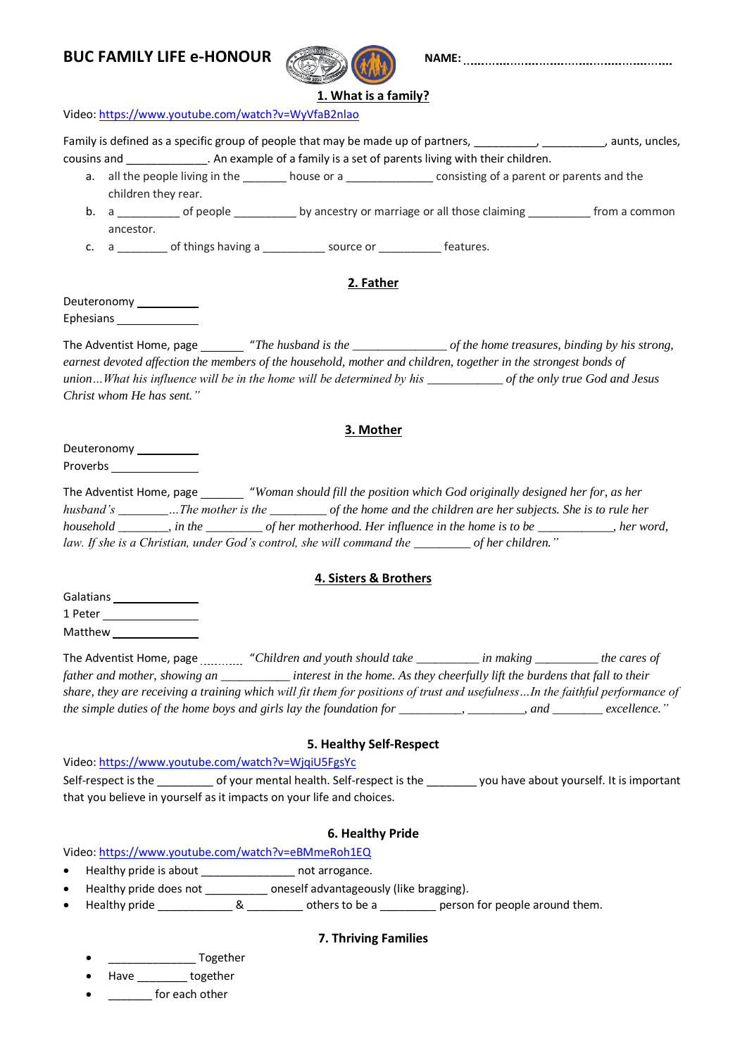

**BUC FAMILY LIFE e-HONOUR NAME:** NAME: NAME: 2000 MAME: 2000 MAME: 2000 MAME: 2000 MAME: 2000 MAME: 2000 MAME: 2000 MAME: 2000 MAME: 2000 MAME: 2000 MAME: 2000 MAME: 2000 MAME: 2000 MAME: 2000 MAME: 2000 MAME: 2000 MAME:

#### **1. What is a family?**

Video:<https://www.youtube.com/watch?v=WyVfaB2nlao>

Family is defined as a specific group of people that may be made up of partners, \_\_\_\_\_\_\_\_\_, \_\_\_\_\_\_\_\_, aunts, uncles, cousins and \_\_\_\_\_\_\_\_\_\_\_\_\_. An example of a family is a set of parents living with their children.

- a. all the people living in the \_\_\_\_\_\_\_ house or a \_\_\_\_\_\_\_\_\_\_\_\_\_\_\_ consisting of a parent or parents and the children they rear.
- b. a \_\_\_\_\_\_\_\_\_\_ of people \_\_\_\_\_\_\_\_\_\_\_\_ by ancestry or marriage or all those claiming \_\_\_\_\_\_\_\_\_\_\_ from a common ancestor.

c. a \_\_\_\_\_\_\_\_ of things having a \_\_\_\_\_\_\_\_\_\_ source or \_\_\_\_\_\_\_\_\_\_\_ features.

### **2. Father**

Deuteronomy \_\_\_\_\_\_\_\_\_\_\_ Ephesians \_\_\_\_\_\_\_

The Adventist Home, page "*The husband is the \_\_\_\_\_\_\_\_\_\_\_\_\_\_\_ of the home treasures, binding by his strong, earnest devoted affection the members of the household, mother and children, together in the strongest bonds of union…What his influence will be in the home will be determined by his \_\_\_\_\_\_\_\_\_\_\_\_ of the only true God and Jesus Christ whom He has sent."*

#### **3. Mother**

Deuteronomy \_\_\_\_\_\_\_\_\_\_ Proverbs

The Adventist Home, page "*Woman should fill the position which God originally designed her for, as her husband's \_\_\_\_\_\_\_\_…The mother is the \_\_\_\_\_\_\_\_\_ of the home and the children are her subjects. She is to rule her household \_\_\_\_\_\_\_\_, in the \_\_\_\_\_\_\_\_\_ of her motherhood. Her influence in the home is to be \_\_\_\_\_\_\_\_\_\_\_\_, her word, law. If she is a Christian, under God's control, she will command the \_\_\_\_\_\_\_\_\_ of her children."*

#### **4. Sisters & Brothers**

Galatians 1 Peter Matthew

The Adventist Home, page \_\_\_\_\_\_\_\_\_\_ "Children and youth should take \_\_\_\_\_\_\_\_\_\_ in making \_\_\_\_\_\_\_\_\_\_\_ the cares of *father and mother, showing an \_\_\_\_\_\_\_\_\_\_\_ interest in the home. As they cheerfully lift the burdens that fall to their share, they are receiving a training which will fit them for positions of trust and usefulness…In the faithful performance of the simple duties of the home boys and girls lay the foundation for \_\_\_\_\_\_\_\_\_\_, \_\_\_\_\_\_\_\_\_, and \_\_\_\_\_\_\_\_ excellence."*

#### **5. Healthy Self-Respect**

Video:<https://www.youtube.com/watch?v=WjqiU5FgsYc>

Self-respect is the  $\qquad \qquad$  of your mental health. Self-respect is the  $\qquad \qquad$  you have about yourself. It is important that you believe in yourself as it impacts on your life and choices.

#### **6. Healthy Pride**

Video:<https://www.youtube.com/watch?v=eBMmeRoh1EQ>

- Healthy pride is about \_\_\_\_\_\_\_\_\_\_\_\_\_\_\_\_\_\_ not arrogance.
- Healthy pride does not \_\_\_\_\_\_\_\_\_\_ oneself advantageously (like bragging).
- Healthy pride \_\_\_\_\_\_\_\_\_\_\_\_ & \_\_\_\_\_\_\_\_\_ others to be a \_\_\_\_\_\_\_\_\_ person for people around them.

#### **7. Thriving Families**

- \_\_\_\_\_\_\_\_\_\_\_\_\_\_ Together
- Have \_\_\_\_\_\_\_\_ together
- for each other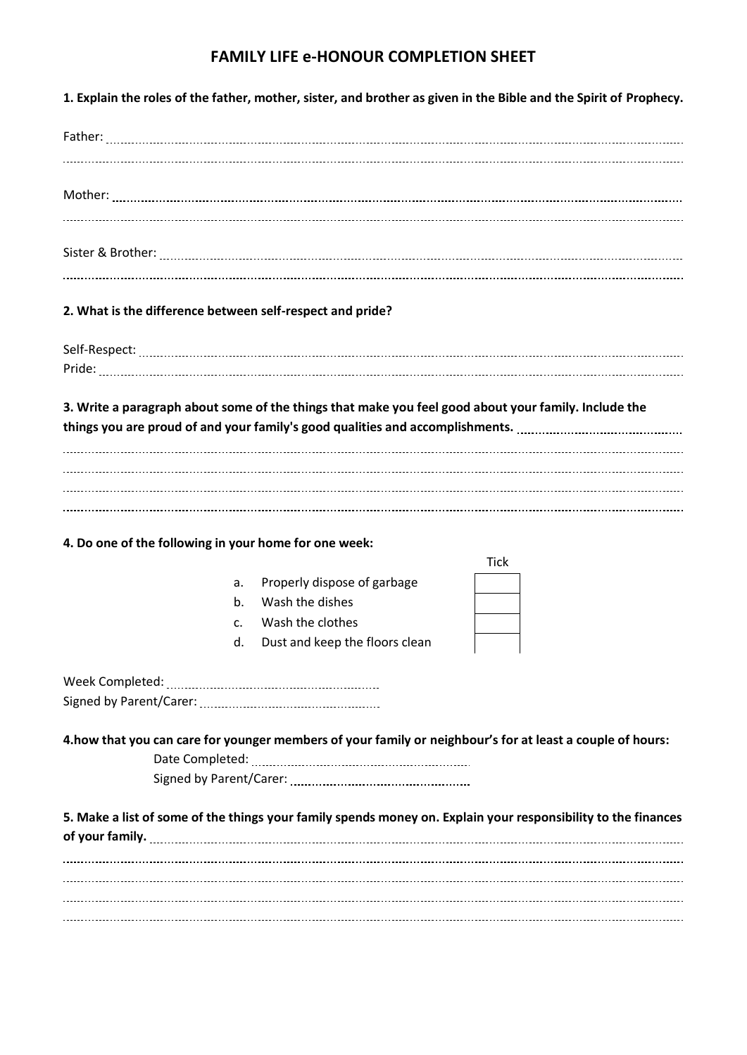# **FAMILY LIFE e-HONOUR COMPLETION SHEET**

**1. Explain the roles of the father, mother, sister, and brother as given in the Bible and the Spirit of Prophecy.**

| 2. What is the difference between self-respect and pride? |  |
|-----------------------------------------------------------|--|

Self-Respect:

Pride: **3. Write a paragraph about some of the things that make you feel good about your family. Include the** 

**things you are proud of and your family's good qualities and accomplishments.** 

**4. Do one of the following in your home for one week:**

- a. Properly dispose of garbage
- b. Wash the dishes
- c. Wash the clothes
- d. Dust and keep the floors clean

**Tick** 

Week Completed: Signed by Parent/Carer:

**4.how that you can care for younger members of your family or neighbour's for at least a couple of hours:**

Date Completed: Signed by Parent/Carer:

**5. Make a list of some of the things your family spends money on. Explain your responsibility to the finances** 

**of your family.**